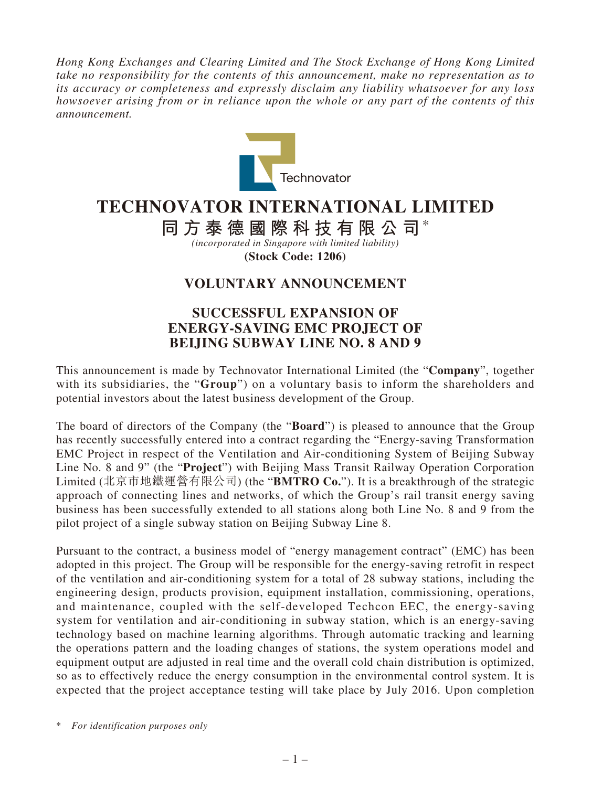*Hong Kong Exchanges and Clearing Limited and The Stock Exchange of Hong Kong Limited take no responsibility for the contents of this announcement, make no representation as to its accuracy or completeness and expressly disclaim any liability whatsoever for any loss howsoever arising from or in reliance upon the whole or any part of the contents of this announcement.*



## **TECHNOVATOR INTERNATIONAL LIMITED**

**同方泰德國際科技有限公司**\*

*(incorporated in Singapore with limited liability)* **(Stock Code: 1206)**

## **VOLUNTARY ANNOUNCEMENT**

## **SUCCESSFUL EXPANSION OF ENERGY-SAVING EMC PROJECT OF BEIJING SUBWAY LINE NO. 8 AND 9**

This announcement is made by Technovator International Limited (the "**Company**", together with its subsidiaries, the "**Group**") on a voluntary basis to inform the shareholders and potential investors about the latest business development of the Group.

The board of directors of the Company (the "**Board**") is pleased to announce that the Group has recently successfully entered into a contract regarding the "Energy-saving Transformation EMC Project in respect of the Ventilation and Air-conditioning System of Beijing Subway Line No. 8 and 9" (the "**Project**") with Beijing Mass Transit Railway Operation Corporation Limited (北京市地鐵運營有限公司) (the "**BMTRO Co.**"). It is a breakthrough of the strategic approach of connecting lines and networks, of which the Group's rail transit energy saving business has been successfully extended to all stations along both Line No. 8 and 9 from the pilot project of a single subway station on Beijing Subway Line 8.

Pursuant to the contract, a business model of "energy management contract" (EMC) has been adopted in this project. The Group will be responsible for the energy-saving retrofit in respect of the ventilation and air-conditioning system for a total of 28 subway stations, including the engineering design, products provision, equipment installation, commissioning, operations, and maintenance, coupled with the self-developed Techcon EEC, the energy-saving system for ventilation and air-conditioning in subway station, which is an energy-saving technology based on machine learning algorithms. Through automatic tracking and learning the operations pattern and the loading changes of stations, the system operations model and equipment output are adjusted in real time and the overall cold chain distribution is optimized, so as to effectively reduce the energy consumption in the environmental control system. It is expected that the project acceptance testing will take place by July 2016. Upon completion

\* *For identification purposes only*